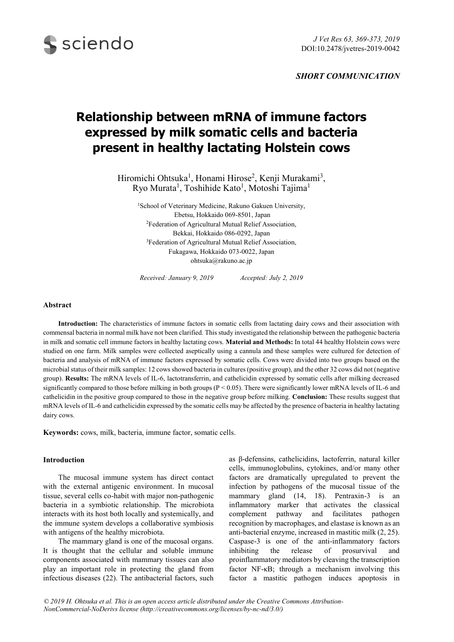

*SHORT COMMUNICATION*

# **Relationship between mRNA of immune factors expressed by milk somatic cells and bacteria present in healthy lactating Holstein cows**

Hiromichi Ohtsuka<sup>1</sup>, Honami Hirose<sup>2</sup>, Kenji Murakami<sup>3</sup>, Ryo Murata<sup>1</sup>, Toshihide Kato<sup>1</sup>, Motoshi Tajima<sup>1</sup>

<sup>1</sup>School of Veterinary Medicine, Rakuno Gakuen University, Ebetsu, Hokkaido 069-8501, Japan <sup>2</sup>Federation of Agricultural Mutual Relief Association, Bekkai, Hokkaido 086-0292, Japan <sup>3</sup>Federation of Agricultural Mutual Relief Association, Fukagawa, Hokkaido 073-0022, Japan ohtsuka@rakuno.ac.jp

*Received: January 9, 2019 Accepted: July 2, 2019*

## **Abstract**

**Introduction:** The characteristics of immune factors in somatic cells from lactating dairy cows and their association with commensal bacteria in normal milk have not been clarified. This study investigated the relationship between the pathogenic bacteria in milk and somatic cell immune factors in healthy lactating cows. **Material and Methods:** In total 44 healthy Holstein cows were studied on one farm. Milk samples were collected aseptically using a cannula and these samples were cultured for detection of bacteria and analysis of mRNA of immune factors expressed by somatic cells. Cows were divided into two groups based on the microbial status of their milk samples: 12 cows showed bacteria in cultures (positive group), and the other 32 cows did not (negative group). **Results:** The mRNA levels of IL-6, lactotransferrin, and cathelicidin expressed by somatic cells after milking decreased significantly compared to those before milking in both groups  $(P < 0.05)$ . There were significantly lower mRNA levels of IL-6 and cathelicidin in the positive group compared to those in the negative group before milking. **Conclusion:** These results suggest that mRNA levels of IL-6 and cathelicidin expressed by the somatic cells may be affected by the presence of bacteria in healthy lactating dairy cows.

**Keywords:** cows, milk, bacteria, immune factor, somatic cells.

### **Introduction**

The mucosal immune system has direct contact with the external antigenic environment. In mucosal tissue, several cells co-habit with major non-pathogenic bacteria in a symbiotic relationship. The microbiota interacts with its host both locally and systemically, and the immune system develops a collaborative symbiosis with antigens of the healthy microbiota.

The mammary gland is one of the mucosal organs. It is thought that the cellular and soluble immune components associated with mammary tissues can also play an important role in protecting the gland from infectious diseases (22). The antibacterial factors, such as β-defensins, cathelicidins, lactoferrin, natural killer cells, immunoglobulins, cytokines, and/or many other factors are dramatically upregulated to prevent the infection by pathogens of the mucosal tissue of the mammary gland (14, 18). Pentraxin-3 is an inflammatory marker that activates the classical complement pathway and facilitates pathogen recognition by macrophages, and elastase is known as an anti-bacterial enzyme, increased in mastitic milk (2, 25). Caspase-3 is one of the anti-inflammatory factors inhibiting the release of prosurvival and proinflammatory mediators by cleaving the transcription factor NF-κB; through a mechanism involving this factor a mastitic pathogen induces apoptosis in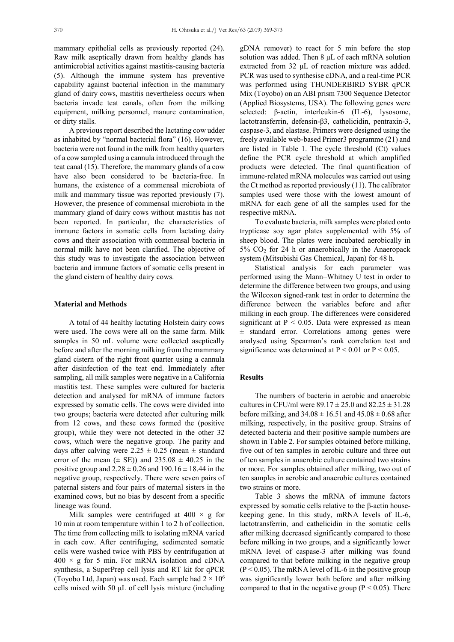mammary epithelial cells as previously reported (24). Raw milk aseptically drawn from healthy glands has antimicrobial activities against mastitis-causing bacteria (5). Although the immune system has preventive capability against bacterial infection in the mammary gland of dairy cows, mastitis nevertheless occurs when bacteria invade teat canals, often from the milking equipment, milking personnel, manure contamination, or dirty stalls.

A previous report described the lactating cow udder as inhabited by "normal bacterial flora" (16). However, bacteria were not found in the milk from healthy quarters of a cow sampled using a cannula introduced through the teat canal (15). Therefore, the mammary glands of a cow have also been considered to be bacteria-free. In humans, the existence of a commensal microbiota of milk and mammary tissue was reported previously (7). However, the presence of commensal microbiota in the mammary gland of dairy cows without mastitis has not been reported. In particular, the characteristics of immune factors in somatic cells from lactating dairy cows and their association with commensal bacteria in normal milk have not been clarified. The objective of this study was to investigate the association between bacteria and immune factors of somatic cells present in the gland cistern of healthy dairy cows.

#### **Material and Methods**

A total of 44 healthy lactating Holstein dairy cows were used. The cows were all on the same farm. Milk samples in 50 mL volume were collected aseptically before and after the morning milking from the mammary gland cistern of the right front quarter using a cannula after disinfection of the teat end. Immediately after sampling, all milk samples were negative in a California mastitis test. These samples were cultured for bacteria detection and analysed for mRNA of immune factors expressed by somatic cells. The cows were divided into two groups; bacteria were detected after culturing milk from 12 cows, and these cows formed the (positive group), while they were not detected in the other 32 cows, which were the negative group. The parity and days after calving were  $2.25 \pm 0.25$  (mean  $\pm$  standard error of the mean  $(\pm \text{ SE})$  and  $235.08 \pm 40.25$  in the positive group and  $2.28 \pm 0.26$  and  $190.16 \pm 18.44$  in the negative group, respectively. There were seven pairs of paternal sisters and four pairs of maternal sisters in the examined cows, but no bias by descent from a specific lineage was found.

Milk samples were centrifuged at  $400 \times g$  for 10 min at room temperature within 1 to 2 h of collection. The time from collecting milk to isolating mRNA varied in each cow. After centrifuging, sedimented somatic cells were washed twice with PBS by centrifugation at  $400 \times g$  for 5 min. For mRNA isolation and cDNA synthesis, a SuperPrep cell lysis and RT kit for qPCR (Toyobo Ltd, Japan) was used. Each sample had  $2 \times 10^6$ cells mixed with 50 μL of cell lysis mixture (including

gDNA remover) to react for 5 min before the stop solution was added. Then 8 μL of each mRNA solution extracted from 32 μL of reaction mixture was added. PCR was used to synthesise cDNA, and a real-time PCR was performed using THUNDERBIRD SYBR qPCR Mix (Toyobo) on an ABI prism 7300 Sequence Detector (Applied Biosystems, USA). The following genes were selected: β-actin, interleukin-6 (IL-6), lysosome, lactotransferrin, defensin-β3, cathelicidin, pentraxin-3, caspase-3, and elastase. Primers were designed using the freely available web-based Primer3 programme (21) and are listed in Table 1. The cycle threshold (Ct) values define the PCR cycle threshold at which amplified products were detected. The final quantification of immune-related mRNA molecules was carried out using the Ct method as reported previously (11). The calibrator samples used were those with the lowest amount of mRNA for each gene of all the samples used for the respective mRNA.

To evaluate bacteria, milk samples were plated onto trypticase soy agar plates supplemented with 5% of sheep blood. The plates were incubated aerobically in  $5\%$  CO<sub>2</sub> for 24 h or anaerobically in the Anaeropack system (Mitsubishi Gas Chemical, Japan) for 48 h.

Statistical analysis for each parameter was performed using the Mann–Whitney U test in order to determine the difference between two groups, and using the Wilcoxon signed-rank test in order to determine the difference between the variables before and after milking in each group. The differences were considered significant at  $P < 0.05$ . Data were expressed as mean ± standard error. Correlations among genes were analysed using Spearman's rank correlation test and significance was determined at  $P < 0.01$  or  $P < 0.05$ .

#### **Results**

The numbers of bacteria in aerobic and anaerobic cultures in CFU/ml were  $89.17 \pm 25.0$  and  $82.25 \pm 31.28$ before milking, and  $34.08 \pm 16.51$  and  $45.08 \pm 0.68$  after milking, respectively, in the positive group. Strains of detected bacteria and their positive sample numbers are shown in Table 2. For samples obtained before milking, five out of ten samples in aerobic culture and three out of ten samples in anaerobic culture contained two strains or more. For samples obtained after milking, two out of ten samples in aerobic and anaerobic cultures contained two strains or more.

Table 3 shows the mRNA of immune factors expressed by somatic cells relative to the β-actin housekeeping gene. In this study, mRNA levels of IL-6, lactotransferrin, and cathelicidin in the somatic cells after milking decreased significantly compared to those before milking in two groups, and a significantly lower mRNA level of caspase-3 after milking was found compared to that before milking in the negative group  $(P < 0.05)$ . The mRNA level of IL-6 in the positive group was significantly lower both before and after milking compared to that in the negative group ( $P < 0.05$ ). There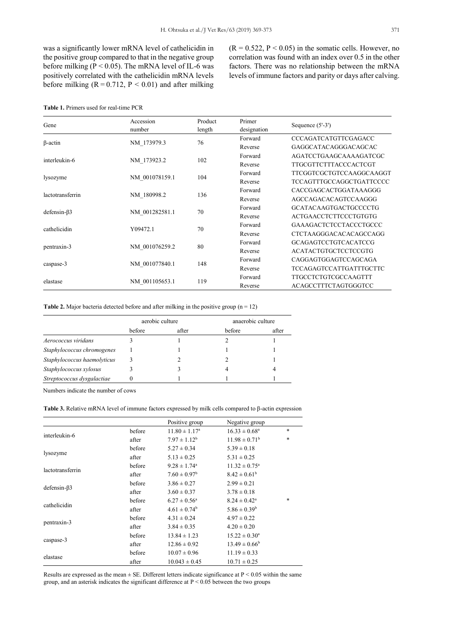was a significantly lower mRNA level of cathelicidin in the positive group compared to that in the negative group before milking ( $P < 0.05$ ). The mRNA level of IL-6 was positively correlated with the cathelicidin mRNA levels before milking  $(R = 0.712, P < 0.01)$  and after milking  $(R = 0.522, P < 0.05)$  in the somatic cells. However, no correlation was found with an index over 0.5 in the other factors. There was no relationship between the mRNA levels of immune factors and parity or days after calving.

## **Table 1.** Primers used for real-time PCR

| Gene              | Accession<br>number | Product<br>length | Primer<br>designation | Sequence $(5'-3')$             |
|-------------------|---------------------|-------------------|-----------------------|--------------------------------|
|                   |                     | 76                | Forward               | CCCAGATCATGTTCGAGACC           |
| $\beta$ -actin    | NM 173979.3         |                   | Reverse               | GAGGCATACAGGGACAGCAC           |
| interleukin-6     |                     | 102               | Forward               | AGATCCTGAAGCAAAAGATCGC         |
|                   | NM 173923.2         |                   | Reverse               | TTGCGTTCTTTACCCACTCGT          |
| lysozyme          | NM 001078159.1      | 104               | Forward               | TTCGGTCGCTGTCCAAGGCAAGGT       |
|                   |                     |                   | Reverse               | TCCAGTTTGCCAGGCTGATTCCCC       |
| lactotransferrin  |                     | 136               | Forward               | CACCGAGCACTGGATAAAGGG          |
|                   | NM 180998.2         |                   | Reverse               | AGCCAGACACAGTCCAAGGG           |
| $defensin-\beta3$ | NM 001282581.1      | 70                | Forward               | <b>GCATACAAGTGACTGCCCCTG</b>   |
|                   |                     |                   | Reverse               | <b>ACTGAACCTCTTCCCTGTGTG</b>   |
| cathelicidin      | Y09472.1            | 70                | Forward               | <b>GAAAGACTCTCCTACCCTGCCC</b>  |
|                   |                     |                   | Reverse               | <b>CTCTAAGGGACACACAGCCAGG</b>  |
| pentraxin-3       | NM 001076259.2      | 80                | Forward               | <b>GCAGAGTCCTGTCACATCCG</b>    |
|                   |                     |                   | Reverse               | <b>ACATACTGTGCTCCTCCGTG</b>    |
| caspase-3         | NM 001077840.1      | 148               | Forward               | CAGGAGTGGAGTCCAGCAGA           |
|                   |                     |                   | Reverse               | <b>TCCAGAGTCCATTGATTTGCTTC</b> |
| elastase          | NM 001105653.1      | 119               | Forward               | TTGCCTCTGTCGCCAAGTTT           |
|                   |                     |                   | Reverse               | ACAGCCTTTCTAGTGGGTCC           |

**Table 2.** Major bacteria detected before and after milking in the positive group  $(n = 12)$ 

|                             | aerobic culture |       | anaerobic culture |       |
|-----------------------------|-----------------|-------|-------------------|-------|
|                             | before          | after | before            | after |
| Aerococcus viridans         |                 |       |                   |       |
| Staphylococcus chromogenes  |                 |       |                   |       |
| Staphylococcus haemolyticus |                 |       |                   |       |
| Staphylococcus xylosus      |                 |       |                   |       |
| Streptococcus dysgalactiae  |                 |       |                   |       |

Numbers indicate the number of cows

**Table 3.** Relative mRNA level of immune factors expressed by milk cells compared to β-actin expression

|                    |        | Positive group               | Negative group           |        |
|--------------------|--------|------------------------------|--------------------------|--------|
|                    | before | $11.80 \pm 1.17^{\circ}$     | $16.33 \pm 0.68^a$       | $\ast$ |
| interleukin-6      | after  | $7.97 \pm 1.12^b$            | $11.98 \pm 0.71^b$       | $\ast$ |
| lysozyme           | before | $5.27 \pm 0.34$              | $5.39 \pm 0.18$          |        |
|                    | after  | $5.13 \pm 0.25$              | $5.31 \pm 0.25$          |        |
| lactotransferrin   | before | $9.28 \pm 1.74$ <sup>a</sup> | $11.32 \pm 0.75^{\circ}$ |        |
|                    | after  | $7.60 \pm 0.97^{\rm b}$      | $8.42 \pm 0.61^{\rm b}$  |        |
| $defension-\beta3$ | before | $3.86 \pm 0.27$              | $2.99 \pm 0.21$          |        |
|                    | after  | $3.60 \pm 0.37$              | $3.78 \pm 0.18$          |        |
|                    | before | $6.27 \pm 0.56^{\circ}$      | $8.24 \pm 0.42^a$        | *      |
| cathelicidin       | after  | $4.61 \pm 0.74^b$            | $5.86 \pm 0.39^b$        |        |
| pentraxin-3        | before | $4.31 \pm 0.24$              | $4.97 \pm 0.22$          |        |
|                    | after  | $3.84 \pm 0.35$              | $4.20 \pm 0.20$          |        |
| caspase-3          | before | $13.84 \pm 1.23$             | $15.22 \pm 0.30^a$       |        |
|                    | after  | $12.86 \pm 0.92$             | $13.49 \pm 0.66^b$       |        |
| elastase           | before | $10.07 \pm 0.96$             | $11.19 \pm 0.33$         |        |
|                    | after  | $10.043 \pm 0.45$            | $10.71 \pm 0.25$         |        |

Results are expressed as the mean  $\pm$  SE. Different letters indicate significance at P < 0.05 within the same group, and an asterisk indicates the significant difference at  $P < 0.05$  between the two groups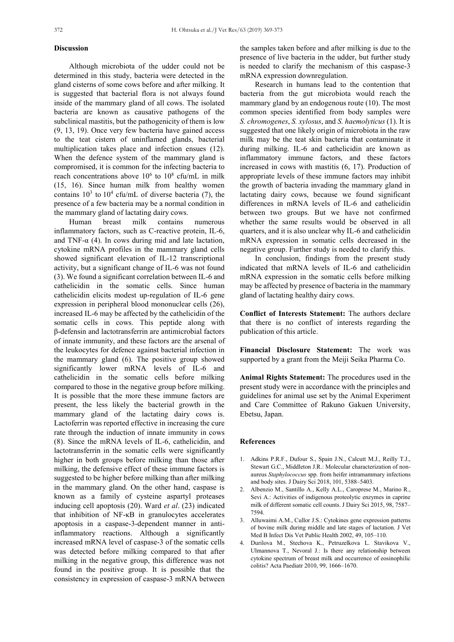## **Discussion**

Although microbiota of the udder could not be determined in this study, bacteria were detected in the gland cisterns of some cows before and after milking. It is suggested that bacterial flora is not always found inside of the mammary gland of all cows. The isolated bacteria are known as causative pathogens of the subclinical mastitis, but the pathogenicity of them is low (9, 13, 19). Once very few bacteria have gained access to the teat cistern of uninflamed glands, bacterial multiplication takes place and infection ensues (12). When the defence system of the mammary gland is compromised, it is common for the infecting bacteria to reach concentrations above  $10^6$  to  $10^8$  cfu/mL in milk (15, 16). Since human milk from healthy women contains  $10^3$  to  $10^4$  cfu/mL of diverse bacteria (7), the presence of a few bacteria may be a normal condition in the mammary gland of lactating dairy cows.

Human breast milk contains numerous inflammatory factors, such as C-reactive protein, IL-6, and TNF- $\alpha$  (4). In cows during mid and late lactation, cytokine mRNA profiles in the mammary gland cells showed significant elevation of IL-12 transcriptional activity, but a significant change of IL-6 was not found (3). We found a significant correlation between IL-6 and cathelicidin in the somatic cells. Since human cathelicidin elicits modest up-regulation of IL-6 gene expression in peripheral blood mononuclear cells (26), increased IL-6 may be affected by the cathelicidin of the somatic cells in cows. This peptide along with β-defensin and lactotransferrin are antimicrobial factors of innate immunity, and these factors are the arsenal of the leukocytes for defence against bacterial infection in the mammary gland (6). The positive group showed significantly lower mRNA levels of IL-6 and cathelicidin in the somatic cells before milking compared to those in the negative group before milking. It is possible that the more these immune factors are present, the less likely the bacterial growth in the mammary gland of the lactating dairy cows is. Lactoferrin was reported effective in increasing the cure rate through the induction of innate immunity in cows (8). Since the mRNA levels of IL-6, cathelicidin, and lactotransferrin in the somatic cells were significantly higher in both groups before milking than those after milking, the defensive effect of these immune factors is suggested to be higher before milking than after milking in the mammary gland. On the other hand, caspase is known as a family of cysteine aspartyl proteases inducing cell apoptosis (20). Ward *et al*. (23) indicated that inhibition of NF-κB in granulocytes accelerates apoptosis in a caspase-3-dependent manner in antiinflammatory reactions. Although a significantly increased mRNA level of caspase-3 of the somatic cells was detected before milking compared to that after milking in the negative group, this difference was not found in the positive group. It is possible that the consistency in expression of caspase-3 mRNA between the samples taken before and after milking is due to the presence of live bacteria in the udder, but further study is needed to clarify the mechanism of this caspase-3 mRNA expression downregulation.

Research in humans lead to the contention that bacteria from the gut microbiota would reach the mammary gland by an endogenous route (10). The most common species identified from body samples were *S. chromogenes*, *S. xylosus*, and *S. haemolyticus* (1). It is suggested that one likely origin of microbiota in the raw milk may be the teat skin bacteria that contaminate it during milking. IL-6 and cathelicidin are known as inflammatory immune factors, and these factors increased in cows with mastitis (6, 17). Production of appropriate levels of these immune factors may inhibit the growth of bacteria invading the mammary gland in lactating dairy cows, because we found significant differences in mRNA levels of IL-6 and cathelicidin between two groups. But we have not confirmed whether the same results would be observed in all quarters, and it is also unclear why IL-6 and cathelicidin mRNA expression in somatic cells decreased in the negative group. Further study is needed to clarify this.

In conclusion, findings from the present study indicated that mRNA levels of IL-6 and cathelicidin mRNA expression in the somatic cells before milking may be affected by presence of bacteria in the mammary gland of lactating healthy dairy cows.

**Conflict of Interests Statement:** The authors declare that there is no conflict of interests regarding the publication of this article.

**Financial Disclosure Statement:** The work was supported by a grant from the Meiji Seika Pharma Co.

**Animal Rights Statement:** The procedures used in the present study were in accordance with the principles and guidelines for animal use set by the Animal Experiment and Care Committee of Rakuno Gakuen University, Ebetsu, Japan.

#### **References**

- 1. Adkins P.R.F., Dufour S., Spain J.N., Calcutt M.J., Reilly T.J., Stewart G.C., Middleton J.R.: Molecular characterization of nonaureus *Staphylococcus* spp. from heifer intramammary infections and body sites. J Dairy Sci 2018, 101, 5388–5403.
- 2. Albenzio M., Santillo A., Kelly A.L., Caroprese M., Marino R., Sevi A.: Activities of indigenous proteolytic enzymes in caprine milk of different somatic cell counts. J Dairy Sci 2015, 98, 7587– 7594.
- 3. Alluwaimi A.M., Cullor J.S.: Cytokines gene expression patterns of bovine milk during middle and late stages of lactation. J Vet Med B Infect Dis Vet Public Health 2002, 49, 105–110.
- 4. Durilova M., Stechova K., Petruzelkova L. Stavikova V., Ulmannova T., Nevoral J.: Is there any relationship between cytokine spectrum of breast milk and occurrence of eosinophilic colitis? Acta Paediatr 2010, 99, 1666–1670.